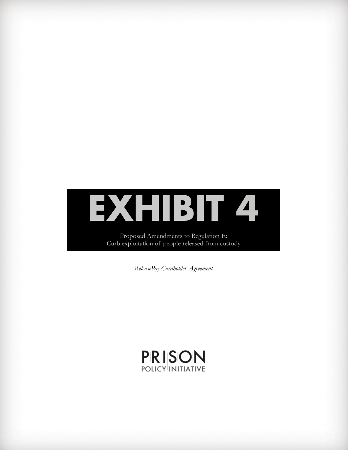# **EXHIBIT 4**

Proposed Amendments to Regulation E: Curb exploitation of people released from custody

*ReleasePay Cardholder Agreement*

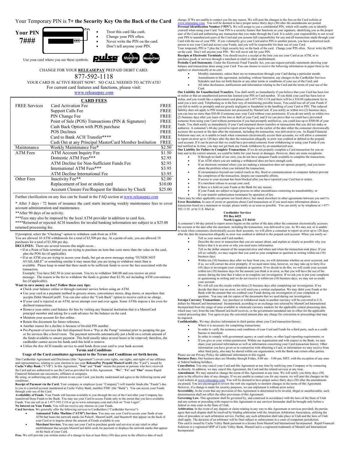# Your Temporary PIN is **7+ the Security Key On the Back of the Card**



Use your card where you see these symbols:

- Treat this card like cash.
	- Change your PIN often.



CHANGE FOR YOUR **RELEASEPAY** PREPAID DEBIT CARD:

###

877-592-1118 YOUR CARD IS ACTIVE RIGHT NOW! NO CALL NEEDED TO ACTIVATE! For current card features and functions, please visit:

[www.releasepay.com](http://www.outpay.net/)

| <b>CARD FEES</b>     |                                                         |             |  |
|----------------------|---------------------------------------------------------|-------------|--|
| <b>FREE Services</b> | Card Activation Fee                                     | <b>FREE</b> |  |
|                      | Support Calls Fee                                       | <b>FREE</b> |  |
|                      | PIN Change Fee                                          | <b>FREE</b> |  |
|                      | Point of Sale (POS) Transactions (PIN & Signature)      | <b>FREE</b> |  |
|                      | Cash Back Option with POS purchase                      | <b>FREE</b> |  |
|                      | <b>POS Declines</b>                                     | <b>FREE</b> |  |
|                      | Card to Bank ACH Transfer****                           | <b>FREE</b> |  |
|                      | Cash Out at any Principal MasterCard Member Institution | <b>FREE</b> |  |
| Maintenance          | Weekly Maintenance Fee*                                 | \$2.50      |  |
| <b>ATM</b> Fees      | ATM Account Inquiry Fee                                 | \$1.50      |  |
|                      | Domestic ATM Fees***                                    | \$2.95      |  |
|                      | ATM Decline for Non-Sufficient Funds Fee                | \$2.95      |  |
|                      | International ATM Fees***                               | \$3.95      |  |
|                      | ATM Decline International Fee                           | \$3.95      |  |
| Other Fees           | Inactivity Fee**                                        | \$2.00      |  |
|                      | Replacement of lost or stolen card                      | \$10.00     |  |
|                      | Account Closure Fee/Request for Balance by Check        | \$25.00     |  |

Further clarification on any fees can be found in the FAQ section a[t www.releasepay.com](http://www.accessfreedomcard.com/)

\* After 3 days / 72 hours of issuance the card starts incurring weekly maintenance fees to cover account administration and maintenance.

\*\*After 90 days of no activity.

\*\*\*Fees may also be imposed by the local ATM provider in addition to card fees.

\*\*\*\*Returned or rejected ACH transfers for invalid banking information are subject to a \$25.00

returned processing fee.

If prompted, select the "Checking" option to withdraw cash from an ATM.

You are allowed 10 ATM withdrawals for a total of \$3,500 per day. At a point-of-sale, you are allowed 10 purchases for a total of \$3,500 per day.

**DECLINES:** There are several reasons this might occur...

- If at a Point of Sale terminal you are trying to purchase an item that costs more than the value on the card, plus the POS fee (if applicable).
- If at an ATM you are trying to access your funds, but get an error message stating "FUNDS NOT AVAILABLE" or something similar it may mean that you are trying to withdraw more than is

available. Please keep in mind that there needs to be sufficient funds to cover the fees associated with the transaction.

Example: You have \$42.50 in your account. You try to withdraw \$40.00 and you receive an error message. The reason is the fee to withdraw the funds is greater than \$2.50, not including ATM convenience fee (if applicable).

# **Want to save money on fees? Follow these easy tips:**

- x Check your balance online or through customer service before using an ATM.
- x Use your card as a payment method in grocery stores, convenience stores, drug stores, or anywhere that accepts Debit MasterCard®. You can also select the "Cash Back" option to receive cash at no charge.
- x If your card is rejected at an ATM, never attempt over and over again. Some ATMs impose a fee even for declined transactions.
- x Remove your entire card balance for free by visiting any financial institution that is a MasterCard principal member and asking for a cash advance for the balance on the card.
- 
- $\bullet$  Maintain your account for free online. • Retain this document for future reference.
- x Another reason for a decline is because of Invalid PIN number.
- x Pre-Payment of services like fuel dispensed from a "Pay at the Pump" terminal prior to pumping the gas or for services like a hotel room. The payment networks automatically put a hold on a certain amount of the funds available to ensure payment. This hold usually takes several hours to be removed; therefore, the cardholder cannot access his funds until this hold is remove.
- x Utilize the free ACH transfer service to send funds from your card to your bank account.

# **Terms and Conditions**

**Usage of the Card constitutes agreement to the Terms and Conditions set forth herein.**  This Cardholder Agreement and Disclosure (this "Agreement") covers your rights, our rights, and rights of our affiliates<br>and representatives, relating to your election to use your ReleasePay Prepaid MasterCard® (the "Card" the Card and are authorized to use the Card as provided for in this Agreement. "**We**", "**Us**" and "**Our**" means Rapid Financial Solutions our successors, affiliates or assignees.

By using, or authorizing any other person to use your Card, you hereby understand and agree to the following terms and

conditions:<br>Receipt of Payment via the Card. Your company or employer (your "Company") will transfer funds (the "Funds") due<br>to you to a pooled account maintained at Cache Valley Bank, member FDIC (the "Bank"). You can acc

**Availability of Funds.** Your Funds will become available to you through the use of the Card after your Company has transferred those Funds to the Bank. You may use your Card to access Funds only to the extent that you have available Funds. You can call us at 1-877-592-1118 or go to www.releasepay.com and click on "User Login".

**No Interest on Your Funds.** You will not receive any interest on your Funds. **Card Services.** We generally offer the following services to Cardholders ("Cardholder Services"):

- **4 Automated Teller Machine ("ATM") Services.** You may use your Card to access your funds at any ATM that bears the network marks for Pulse®, MasterCard®, and Macstro® that appear on the back of your Card or to inquire a
- x **Merchant Services.** You may use your Card to purchase goods and services at any retail or other establishment that accepts MasterCard debit cards for payment or displays the network marks that appear on the back of your Card.

Fees. We will provide you written notice of a change in fees at least thirty (30) days prior to the effective date of such

change. If We are unable to contact you for any reason, We will post the changes to the fees on the Card website at [www.releasepay.com.](http://www.refpay.com/) You will be deemed to have proper notice thirty days (30) after the amendments are posted.<br>Personal Identification Number ("PIN"). We will assign to you a confidential PIN, which will enable you to iden yourself when using your Card. Your PIN is a security feature that functions as your signature, identifying you as the proper<br>user of the Card and authorizing any transaction that you make through the Card. It is solely yo

on the card. Don't tell anyone your PIN. We will never ask for your PIN. **Receipts at Electronic Terminals.** You should receive a receipt at the time you use your Card at an ATM, or to

purchase goods or services through a merchant at retail or other establishment.

Periodic Card Statements. Under the Electronic Fund Transfer Act, you can request periodic statements showing your<br>balance and transactions done using your Card. You can choose to receive the following information in paper applies) or electronically at no cost:<br>
• Monthly statements, unless there are no transactions through your Card during a particular month.

- 
- x Amendments to this agreement, including, without limitation, any changes in the Cardholder Services Schedule and fees set forth therein or any other terms or conditions of your use of the Card; and
- All other disclosures, notifications and information relating to the Card and the terms of your use of the Card.

Our Liability for Unauthorized Transfers. You shall notify us immediately if you believe that your Card has been lost<br>or stolen or that an unauthorized person has learned your PIN or Card number. If you think your card has send you a new card. Telephoning us is the best way of minimizing possible losses. You could lose all of your Funds if<br>you fail to notify us promptly and are grossly negligent or fraudulent in the handling of your Card or liability does not apply to PIN transactions not processed by MasterCard. If you notify us within two (2) business days,<br>you can lose no more than \$50.00 if someone uses your Card without your permission. If you do not not someone from using your Card without permission if you had promptly notified us, you could lose up to \$500.00 of your<br>Funds. You shall notify us immediately if your Card statement shows transfers or transactions that you d authorize. A consumer's 60-day period to report errors begins on the earlier of the date either the consumer electronically<br>accesses the account or the date after the statement, including the transaction, was delivered to to report an error up to 120 days after the date the transaction allegedly in error was credited or debited to the prepaid<br>card account. If it can be proven that we could have prevented someone from withdrawing or using yo had notified us in time, you may not get back any Funds withdrawn by an unauthorized user.

Our Liability for Failure to Complete Transactions. If we do not properly complete a Card transaction for you on<br>time and in the correct amount, we could be liable for your losses or damages. However, there are some except

- x If through no fault of our own, you do not have adequate Funds available to complete the transaction; x If an ATM where you are making a withdrawal does not have enough cash;
- 
- x If an electronic terminal where you are making a transaction does not operate properly, and you knew about the problem when you initiated the transaction;
- If circumstances beyond our control (such as fire, flood or communications or computer failure) prevent the completion of the transaction, despite our reasonable efforts;
- If access to your account has been blocked after you have reported your Card lost or stolen;
- If a merchant refuses to accept your card;
- x If there is a hold on your Funds at the Bank for any reason; x If your Funds are subject to legal process or other encumbrance restricting its transferability; or
- 

x If your transfer authorization terminates by operation of law. There may be other applicable exceptions not listed above, but stated elsewhere in other agreements between you and Us. Error Resolution. In case of errors or questions about Card transactions or if you need more information about a<br>transaction listed on a statement or receipt, please notify us as soon as possible. You can notify us by tele 592-1118 or by U.S. Mail at:

# **Cardholder Services PO Box 6425**

North Logan, UT 84341<br>A consumer's 60-day period to report errors begins on the earlier of the date either the consumer electronically accesses<br>the account or the date after the statement, including the transaction, was de to track when consumers electronically access their accounts, we will allow a consumer to report an error up to 120 days<br>after the date the transaction allegedly in error was credited or debited to the prepaid card account Tell us your name and Card number.

- Describe the error or transaction that you are unsure about, and explain as clearly as possible why you
- believe that it is an error or why you need more information. Tell us the dollar amount of the suspected error and where and when the transaction took place. If you tell us verbally, we may require that you send us your complaint or question in writing within ten (10)
- business days. Within ten (10) business days after we hear from you, we will determine whether an error occurred, and if so, we will correct the error promptly. If we need more time, however, we may take up to forty-five (45) days to investigate your complaint or question. If we decide to do this, we will credit your account within ten (10) business days for the amount you think is in error, so that you will have the use of the money during the time that it takes us to complete our investigation. If we ask you to put your complaint or questioning in writing and we do not receive it within ten (10) business days, we may not so credit your account.
- We will tell you the results within three  $(3)$  business days after completing our investigation. If we decide that there was no error, we will send you a written explanation. We may debit your Funds at the Bank with the amount that we credited your Funds during our investigation of your complaint or

question. You may ask for copies of the documents that we used during our investigation. **Foreign Currency Transactions:** Any purchase or withdrawal made in another currency will be converted to U.S. dollars by MasterCard International Incorporated, according to an exchange rate selected by MasterCard International<br>Incorporated from the range of rates available in wholesale currency markets for the applicable central p central processing date. You agree to pay the converted amount plus any charge for conversion or proceedings that may be imposed.

- **Confidentiality.** We may disclose information to third parties about your Card transaction history:
	- Where it is necessary for completing transactions; x In order to verify the existence and conditions of your Card and Funds for a third party, such as a credit
	- bureau or merchant;

**Incorporated** 

- In order to comply with government agency or court orders, or other legal reporting requirements; or x If you give us your written permission. Within our organization and with respect to the Bank, we may
- share your personal information as well as information concerning your Card transaction history. Other<br>information you have given us in connection with obtaining a Card, or information we may receive from<br>other third party

Please see our Privacy Policy for additional information in this regard. **Business Days.** Our business days are Monday through Friday, 8:00 am – 5:00 pm, MST, with the exception of any state or federal banking holidays.

**Cancellation.** You may cancel your Card and this Agreement at any time by notifying your Company or by contacting us directly. In addition, we may cancel this Agreement, the Card and the related services at any time.

**Amendment.** We may amend or change the terms of this Agreement at any time. We will notify you thirty days (30)<br>prior to the effective date of any changes. If we are unable to contact you for any reason, we will post the are posted. You are encouraged to review the web site regularly to monitor changes in the terms of this Agreement. However, if a change is made for security purposes, we can implement it without prior notice.

Severability. In the event that any provision of this Agreement is determined to be invalid, illegal or unenforceable, such determination shall not affect the other provisions of this Agreement.

**Governing Law.** This agreement shall be governed by, and construed in accordance with the laws of the State of Utah<br>and any actions or preceding with respect to this Agreement or any services hereunder shall be brought on

Arbitration. In the event of any dispute or claim relating in any way to this Agreement or services provided, the parties<br>agree that such dispute shall be resolved by binding arbitration with the American Arbitration Assoc shall apply. The decision of an arbitrator will be final subject to enforcement in a court of competent jurisdiction.<br>This card is issued by Cache Valley Bank pursuant to a license from MasterCard International Incorporate Solutions is a registered MSP of Cache Valley Bank. MasterCard is a registered trademark of MasterCard International